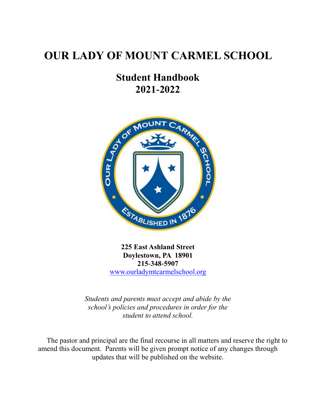# **OUR LADY OF MOUNT CARMEL SCHOOL**

# **Student Handbook 2021-2022**



**225 East Ashland Street Doylestown, PA 18901 215-348-5907** [www.ourladymtcarmelschool.org](http://www.ourladymtcarmelschool.org/)

*Students and parents must accept and abide by the school's policies and procedures in order for the student to attend school.*

The pastor and principal are the final recourse in all matters and reserve the right to amend this document. Parents will be given prompt notice of any changes through updates that will be published on the website.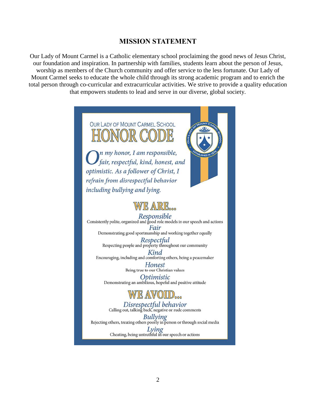#### **MISSION STATEMENT**

Our Lady of Mount Carmel is a Catholic elementary school proclaiming the good news of Jesus Christ, our foundation and inspiration. In partnership with families, students learn about the person of Jesus, worship as members of the Church community and offer service to the less fortunate. Our Lady of Mount Carmel seeks to educate the whole child through its strong academic program and to enrich the total person through co-curricular and extracurricular activities. We strive to provide a quality education that empowers students to lead and serve in our diverse, global society.

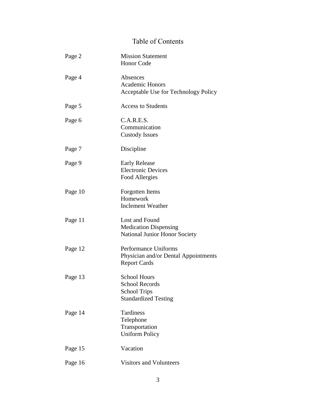# Table of Contents

| Page 2  | <b>Mission Statement</b><br><b>Honor Code</b>                                                      |  |
|---------|----------------------------------------------------------------------------------------------------|--|
| Page 4  | Absences<br><b>Academic Honors</b><br>Acceptable Use for Technology Policy                         |  |
| Page 5  | <b>Access to Students</b>                                                                          |  |
| Page 6  | C.A.R.E.S.<br>Communication<br><b>Custody Issues</b>                                               |  |
| Page 7  | Discipline                                                                                         |  |
| Page 9  | <b>Early Release</b><br><b>Electronic Devices</b><br>Food Allergies                                |  |
| Page 10 | Forgotten Items<br>Homework<br><b>Inclement Weather</b>                                            |  |
| Page 11 | Lost and Found<br><b>Medication Dispensing</b><br>National Junior Honor Society                    |  |
| Page 12 | Performance Uniforms<br>Physician and/or Dental Appointments<br><b>Report Cards</b>                |  |
| Page 13 | <b>School Hours</b><br><b>School Records</b><br><b>School Trips</b><br><b>Standardized Testing</b> |  |
| Page 14 | Tardiness<br>Telephone<br>Transportation<br><b>Uniform Policy</b>                                  |  |
| Page 15 | Vacation                                                                                           |  |
| Page 16 | <b>Visitors and Volunteers</b>                                                                     |  |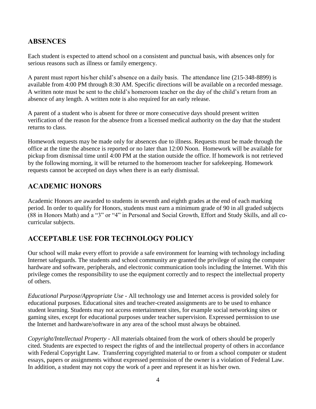## **ABSENCES**

Each student is expected to attend school on a consistent and punctual basis, with absences only for serious reasons such as illness or family emergency.

A parent must report his/her child's absence on a daily basis. The attendance line (215-348-8899) is available from 4:00 PM through 8:30 AM. Specific directions will be available on a recorded message. A written note must be sent to the child's homeroom teacher on the day of the child's return from an absence of any length. A written note is also required for an early release.

A parent of a student who is absent for three or more consecutive days should present written verification of the reason for the absence from a licensed medical authority on the day that the student returns to class.

Homework requests may be made only for absences due to illness. Requests must be made through the office at the time the absence is reported or no later than 12:00 Noon. Homework will be available for pickup from dismissal time until 4:00 PM at the station outside the office. If homework is not retrieved by the following morning, it will be returned to the homeroom teacher for safekeeping. Homework requests cannot be accepted on days when there is an early dismissal.

## **ACADEMIC HONORS**

Academic Honors are awarded to students in seventh and eighth grades at the end of each marking period. In order to qualify for Honors, students must earn a minimum grade of 90 in all graded subjects (88 in Honors Math) and a "3" or "4" in Personal and Social Growth, Effort and Study Skills, and all cocurricular subjects.

## **ACCEPTABLE USE FOR TECHNOLOGY POLICY**

Our school will make every effort to provide a safe environment for learning with technology including Internet safeguards. The students and school community are granted the privilege of using the computer hardware and software, peripherals, and electronic communication tools including the Internet. With this privilege comes the responsibility to use the equipment correctly and to respect the intellectual property of others.

*Educational Purpose/Appropriate Use* - All technology use and Internet access is provided solely for educational purposes. Educational sites and teacher-created assignments are to be used to enhance student learning. Students may not access entertainment sites, for example social networking sites or gaming sites, except for educational purposes under teacher supervision. Expressed permission to use the Internet and hardware/software in any area of the school must always be obtained.

*Copyright/Intellectual Property -* All materials obtained from the work of others should be properly cited. Students are expected to respect the rights of and the intellectual property of others in accordance with Federal Copyright Law. Transferring copyrighted material to or from a school computer or student essays, papers or assignments without expressed permission of the owner is a violation of Federal Law. In addition, a student may not copy the work of a peer and represent it as his/her own.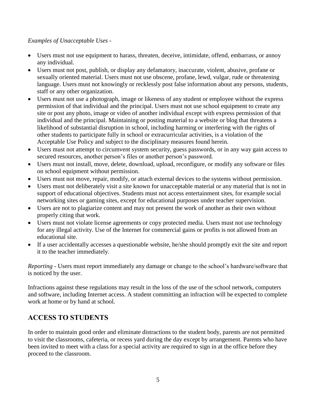#### *Examples of Unacceptable Uses* -

- Users must not use equipment to harass, threaten, deceive, intimidate, offend, embarrass, or annoy any individual.
- Users must not post, publish, or display any defamatory, inaccurate, violent, abusive, profane or sexually oriented material. Users must not use obscene, profane, lewd, vulgar, rude or threatening language. Users must not knowingly or recklessly post false information about any persons, students, staff or any other organization.
- Users must not use a photograph, image or likeness of any student or employee without the express permission of that individual and the principal. Users must not use school equipment to create any site or post any photo, image or video of another individual except with express permission of that individual and the principal. Maintaining or posting material to a website or blog that threatens a likelihood of substantial disruption in school, including harming or interfering with the rights of other students to participate fully in school or extracurricular activities, is a violation of the Acceptable Use Policy and subject to the disciplinary measures found herein.
- Users must not attempt to circumvent system security, guess passwords, or in any way gain access to secured resources, another person's files or another person's password.
- Users must not install, move, delete, download, upload, reconfigure, or modify any software or files on school equipment without permission.
- Users must not move, repair, modify, or attach external devices to the systems without permission.
- Users must not deliberately visit a site known for unacceptable material or any material that is not in support of educational objectives. Students must not access entertainment sites, for example social networking sites or gaming sites, except for educational purposes under teacher supervision.
- Users are not to plagiarize content and may not present the work of another as their own without properly citing that work.
- Users must not violate license agreements or copy protected media. Users must not use technology for any illegal activity. Use of the Internet for commercial gains or profits is not allowed from an educational site.
- If a user accidentally accesses a questionable website, he/she should promptly exit the site and report it to the teacher immediately.

*Reporting* - Users must report immediately any damage or change to the school's hardware/software that is noticed by the user.

Infractions against these regulations may result in the loss of the use of the school network, computers and software, including Internet access. A student committing an infraction will be expected to complete work at home or by hand at school.

## **ACCESS TO STUDENTS**

In order to maintain good order and eliminate distractions to the student body, parents are not permitted to visit the classrooms, cafeteria, or recess yard during the day except by arrangement. Parents who have been invited to meet with a class for a special activity are required to sign in at the office before they proceed to the classroom.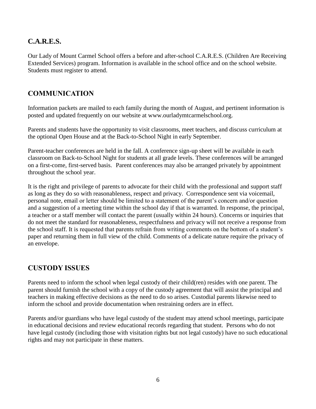## **C.A.R.E.S.**

Our Lady of Mount Carmel School offers a before and after-school C.A.R.E.S. (Children Are Receiving Extended Services) program. Information is available in the school office and on the school website. Students must register to attend.

#### **COMMUNICATION**

Information packets are mailed to each family during the month of August, and pertinent information is posted and updated frequently on our website at www.ourladymtcarmelschool.org.

Parents and students have the opportunity to visit classrooms, meet teachers, and discuss curriculum at the optional Open House and at the Back-to-School Night in early September.

Parent-teacher conferences are held in the fall. A conference sign-up sheet will be available in each classroom on Back-to-School Night for students at all grade levels. These conferences will be arranged on a first-come, first-served basis. Parent conferences may also be arranged privately by appointment throughout the school year.

It is the right and privilege of parents to advocate for their child with the professional and support staff as long as they do so with reasonableness, respect and privacy. Correspondence sent via voicemail, personal note, email or letter should be limited to a statement of the parent's concern and/or question and a suggestion of a meeting time within the school day if that is warranted. In response, the principal, a teacher or a staff member will contact the parent (usually within 24 hours). Concerns or inquiries that do not meet the standard for reasonableness, respectfulness and privacy will not receive a response from the school staff. It is requested that parents refrain from writing comments on the bottom of a student's paper and returning them in full view of the child. Comments of a delicate nature require the privacy of an envelope.

## **CUSTODY ISSUES**

Parents need to inform the school when legal custody of their child(ren) resides with one parent. The parent should furnish the school with a copy of the custody agreement that will assist the principal and teachers in making effective decisions as the need to do so arises. Custodial parents likewise need to inform the school and provide documentation when restraining orders are in effect.

Parents and/or guardians who have legal custody of the student may attend school meetings, participate in educational decisions and review educational records regarding that student. Persons who do not have legal custody (including those with visitation rights but not legal custody) have no such educational rights and may not participate in these matters.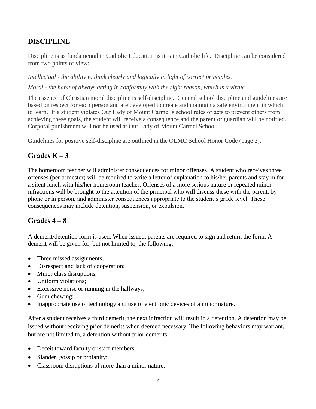## **DISCIPLINE**

Discipline is as fundamental in Catholic Education as it is in Catholic life. Discipline can be considered from two points of view:

*Intellectual - the ability to think clearly and logically in light of correct principles. Moral - the habit of always acting in conformity with the right reason, which is a virtue.*

The essence of Christian moral discipline is self-discipline. General school discipline and guidelines are based on respect for each person and are developed to create and maintain a safe environment in which to learn. If a student violates Our Lady of Mount Carmel's school rules or acts to prevent others from achieving these goals, the student will receive a consequence and the parent or guardian will be notified. Corporal punishment will not be used at Our Lady of Mount Carmel School.

Guidelines for positive self-discipline are outlined in the OLMC School Honor Code (page 2).

## Grades  $K - 3$

The homeroom teacher will administer consequences for minor offenses. A student who receives three offenses (per trimester) will be required to write a letter of explanation to his/her parents and stay in for a silent lunch with his/her homeroom teacher. Offenses of a more serious nature or repeated minor infractions will be brought to the attention of the principal who will discuss these with the parent, by phone or in person, and administer consequences appropriate to the student's grade level. These consequences may include detention, suspension, or expulsion.

## **Grades 4 – 8**

A demerit/detention form is used. When issued, parents are required to sign and return the form. A demerit will be given for, but not limited to, the following:

- Three missed assignments;
- Disrespect and lack of cooperation;
- Minor class disruptions;
- Uniform violations;
- Excessive noise or running in the hallways;
- Gum chewing:
- Inappropriate use of technology and use of electronic devices of a minor nature.

After a student receives a third demerit, the next infraction will result in a detention. A detention may be issued without receiving prior demerits when deemed necessary. The following behaviors may warrant, but are not limited to, a detention without prior demerits:

- Deceit toward faculty or staff members;
- Slander, gossip or profanity;
- Classroom disruptions of more than a minor nature;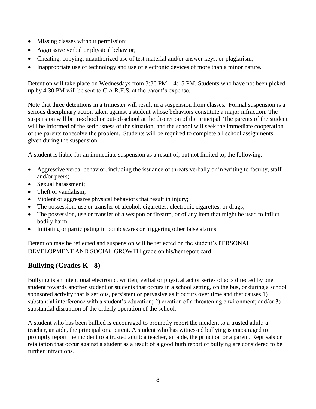- Missing classes without permission;
- Aggressive verbal or physical behavior;
- Cheating, copying, unauthorized use of test material and/or answer keys, or plagiarism;
- Inappropriate use of technology and use of electronic devices of more than a minor nature.

Detention will take place on Wednesdays from 3:30 PM – 4:15 PM. Students who have not been picked up by 4:30 PM will be sent to C.A.R.E.S. at the parent's expense.

Note that three detentions in a trimester will result in a suspension from classes. Formal suspension is a serious disciplinary action taken against a student whose behaviors constitute a major infraction. The suspension will be in-school or out-of-school at the discretion of the principal. The parents of the student will be informed of the seriousness of the situation, and the school will seek the immediate cooperation of the parents to resolve the problem. Students will be required to complete all school assignments given during the suspension.

A student is liable for an immediate suspension as a result of, but not limited to, the following:

- Aggressive verbal behavior, including the issuance of threats verbally or in writing to faculty, staff and/or peers;
- Sexual harassment:
- Theft or vandalism:
- Violent or aggressive physical behaviors that result in injury;
- The possession, use or transfer of alcohol, cigarettes, electronic cigarettes, or drugs;
- The possession, use or transfer of a weapon or firearm, or of any item that might be used to inflict bodily harm;
- Initiating or participating in bomb scares or triggering other false alarms.

Detention may be reflected and suspension will be reflected on the student's PERSONAL DEVELOPMENT AND SOCIAL GROWTH grade on his/her report card.

## **Bullying (Grades K - 8)**

Bullying is an intentional electronic, written, verbal or physical act or series of acts directed by one student towards another student or students that occurs in a school setting, on the bus**,** or during a school sponsored activity that is serious, persistent or pervasive as it occurs over time and that causes 1) substantial interference with a student's education; 2) creation of a threatening environment; and/or 3) substantial disruption of the orderly operation of the school.

A student who has been bullied is encouraged to promptly report the incident to a trusted adult: a teacher, an aide, the principal or a parent. A student who has witnessed bullying is encouraged to promptly report the incident to a trusted adult: a teacher, an aide, the principal or a parent. Reprisals or retaliation that occur against a student as a result of a good faith report of bullying are considered to be further infractions.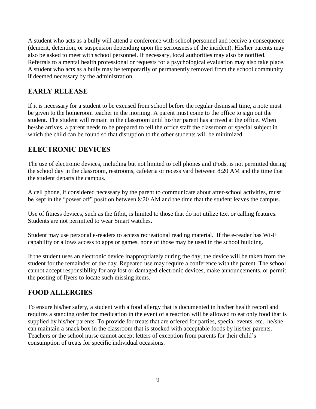A student who acts as a bully will attend a conference with school personnel and receive a consequence (demerit, detention, or suspension depending upon the seriousness of the incident). His/her parents may also be asked to meet with school personnel. If necessary, local authorities may also be notified. Referrals to a mental health professional or requests for a psychological evaluation may also take place. A student who acts as a bully may be temporarily or permanently removed from the school community if deemed necessary by the administration.

## **EARLY RELEASE**

If it is necessary for a student to be excused from school before the regular dismissal time, a note must be given to the homeroom teacher in the morning. A parent must come to the office to sign out the student. The student will remain in the classroom until his/her parent has arrived at the office**.** When he/she arrives, a parent needs to be prepared to tell the office staff the classroom or special subject in which the child can be found so that disruption to the other students will be minimized.

## **ELECTRONIC DEVICES**

The use of electronic devices, including but not limited to cell phones and iPods, is not permitted during the school day in the classroom, restrooms, cafeteria or recess yard between 8:20 AM and the time that the student departs the campus.

A cell phone, if considered necessary by the parent to communicate about after-school activities, must be kept in the "power off" position between 8:20 AM and the time that the student leaves the campus.

Use of fitness devices, such as the fitbit, is limited to those that do not utilize text or calling features. Students are not permitted to wear Smart watches.

Student may use personal e-readers to access recreational reading material. If the e-reader has Wi-Fi capability or allows access to apps or games, none of those may be used in the school building.

If the student uses an electronic device inappropriately during the day, the device will be taken from the student for the remainder of the day. Repeated use may require a conference with the parent. The school cannot accept responsibility for any lost or damaged electronic devices, make announcements, or permit the posting of flyers to locate such missing items.

#### **FOOD ALLERGIES**

To ensure his/her safety, a student with a food allergy that is documented in his/her health record and requires a standing order for medication in the event of a reaction will be allowed to eat only food that is supplied by his/her parents. To provide for treats that are offered for parties, special events, etc., he/she can maintain a snack box in the classroom that is stocked with acceptable foods by his/her parents. Teachers or the school nurse cannot accept letters of exception from parents for their child's consumption of treats for specific individual occasions.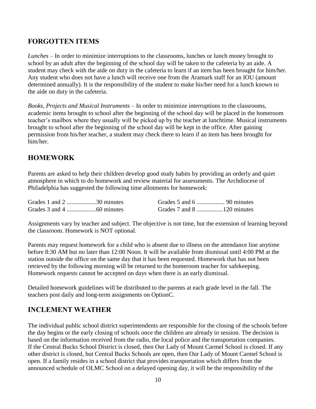#### **FORGOTTEN ITEMS**

*Lunches* – In order to minimize interruptions to the classrooms, lunches or lunch money brought to school by an adult after the beginning of the school day will be taken to the cafeteria by an aide. A student may check with the aide on duty in the cafeteria to learn if an item has been brought for him/her. Any student who does not have a lunch will receive one from the Aramark staff for an IOU (amount determined annually). It is the responsibility of the student to make his/her need for a lunch known to the aide on duty in the cafeteria.

*Books, Projects and Musical Instruments* – In order to minimize interruptions to the classrooms, academic items brought to school after the beginning of the school day will be placed in the homeroom teacher's mailbox where they usually will be picked up by the teacher at lunchtime. Musical instruments brought to school after the beginning of the school day will be kept in the office. After gaining permission from his/her teacher, a student may check there to learn if an item has been brought for him/her.

## **HOMEWORK**

Parents are asked to help their children develop good study habits by providing an orderly and quiet atmosphere in which to do homework and review material for assessments. The Archdiocese of Philadelphia has suggested the following time allotments for homework:

| Grades 1 and 2 30 minutes |  |  |
|---------------------------|--|--|
|                           |  |  |

Assignments vary by teacher and subject. The objective is not time, but the extension of learning beyond the classroom. Homework is NOT optional.

Parents may request homework for a child who is absent due to illness on the attendance line anytime before 8:30 AM but no later than 12:00 Noon. It will be available from dismissal until 4:00 PM at the station outside the office on the same day that it has been requested. Homework that has not been retrieved by the following morning will be returned to the homeroom teacher for safekeeping. Homework requests cannot be accepted on days when there is an early dismissal.

Detailed homework guidelines will be distributed to the parents at each grade level in the fall. The teachers post daily and long-term assignments on OptionC.

#### **INCLEMENT WEATHER**

The individual public school district superintendents are responsible for the closing of the schools before the day begins or the early closing of schools once the children are already in session. The decision is based on the information received from the radio, the local police and the transportation companies. If the Central Bucks School District is closed, then Our Lady of Mount Carmel School is closed. If any other district is closed, but Central Bucks Schools are open, then Our Lady of Mount Carmel School is open. If a family resides in a school district that provides transportation which differs from the announced schedule of OLMC School on a delayed opening day, it will be the responsibility of the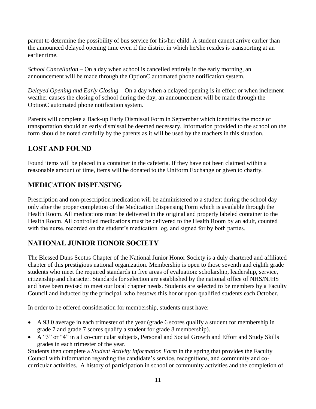parent to determine the possibility of bus service for his/her child. A student cannot arrive earlier than the announced delayed opening time even if the district in which he/she resides is transporting at an earlier time.

*School Cancellation* – On a day when school is cancelled entirely in the early morning, an announcement will be made through the OptionC automated phone notification system.

*Delayed Opening and Early Closing* – On a day when a delayed opening is in effect or when inclement weather causes the closing of school during the day, an announcement will be made through the OptionC automated phone notification system.

Parents will complete a Back-up Early Dismissal Form in September which identifies the mode of transportation should an early dismissal be deemed necessary. Information provided to the school on the form should be noted carefully by the parents as it will be used by the teachers in this situation.

## **LOST AND FOUND**

Found items will be placed in a container in the cafeteria. If they have not been claimed within a reasonable amount of time, items will be donated to the Uniform Exchange or given to charity.

## **MEDICATION DISPENSING**

Prescription and non-prescription medication will be administered to a student during the school day only after the proper completion of the Medication Dispensing Form which is available through the Health Room. All medications must be delivered in the original and properly labeled container to the Health Room. All controlled medications must be delivered to the Health Room by an adult, counted with the nurse, recorded on the student's medication log, and signed for by both parties.

## **NATIONAL JUNIOR HONOR SOCIETY**

The Blessed Duns Scotus Chapter of the National Junior Honor Society is a duly chartered and affiliated chapter of this prestigious national organization. Membership is open to those seventh and eighth grade students who meet the required standards in five areas of evaluation: scholarship, leadership, service, citizenship and character. Standards for selection are established by the national office of NHS/NJHS and have been revised to meet our local chapter needs. Students are selected to be members by a Faculty Council and inducted by the principal, who bestows this honor upon qualified students each October.

In order to be offered consideration for membership, students must have:

- A 93.0 average in each trimester of the year (grade 6 scores qualify a student for membership in grade 7 and grade 7 scores qualify a student for grade 8 membership).
- A "3" or "4" in all co-curricular subjects, Personal and Social Growth and Effort and Study Skills grades in each trimester of the year.

Students then complete a *Student Activity Information Form* in the spring that provides the Faculty Council with information regarding the candidate's service, recognitions, and community and cocurricular activities. A history of participation in school or community activities and the completion of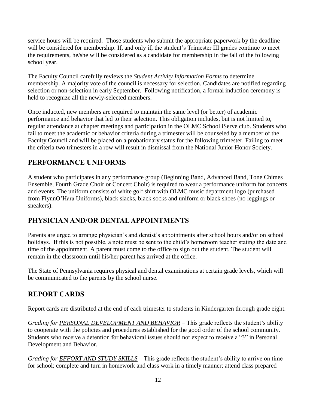service hours will be required. Those students who submit the appropriate paperwork by the deadline will be considered for membership. If, and only if, the student's Trimester III grades continue to meet the requirements, he/she will be considered as a candidate for membership in the fall of the following school year.

The Faculty Council carefully reviews the *Student Activity Information Forms* to determine membership. A majority vote of the council is necessary for selection. Candidates are notified regarding selection or non-selection in early September. Following notification, a formal induction ceremony is held to recognize all the newly-selected members.

Once inducted, new members are required to maintain the same level (or better) of academic performance and behavior that led to their selection. This obligation includes, but is not limited to, regular attendance at chapter meetings and participation in the OLMC School iServe club. Students who fail to meet the academic or behavior criteria during a trimester will be counseled by a member of the Faculty Council and will be placed on a probationary status for the following trimester. Failing to meet the criteria two trimesters in a row will result in dismissal from the National Junior Honor Society.

## **PERFORMANCE UNIFORMS**

A student who participates in any performance group (Beginning Band, Advanced Band, Tone Chimes Ensemble, Fourth Grade Choir or Concert Choir) is required to wear a performance uniform for concerts and events. The uniform consists of white golf shirt with OLMC music department logo (purchased from FlynnO'Hara Uniforms), black slacks, black socks and uniform or black shoes (no leggings or sneakers).

## **PHYSICIAN AND/OR DENTAL APPOINTMENTS**

Parents are urged to arrange physician's and dentist's appointments after school hours and/or on school holidays. If this is not possible, a note must be sent to the child's homeroom teacher stating the date and time of the appointment. A parent must come to the office to sign out the student. The student will remain in the classroom until his/her parent has arrived at the office.

The State of Pennsylvania requires physical and dental examinations at certain grade levels, which will be communicated to the parents by the school nurse.

#### **REPORT CARDS**

Report cards are distributed at the end of each trimester to students in Kindergarten through grade eight.

*Grading for PERSONAL DEVELOPMENT AND BEHAVIOR* – This grade reflects the student's ability to cooperate with the policies and procedures established for the good order of the school community. Students who receive a detention for behavioral issues should not expect to receive a "3" in Personal Development and Behavior.

*Grading for EFFORT AND STUDY SKILLS* – This grade reflects the student's ability to arrive on time for school; complete and turn in homework and class work in a timely manner; attend class prepared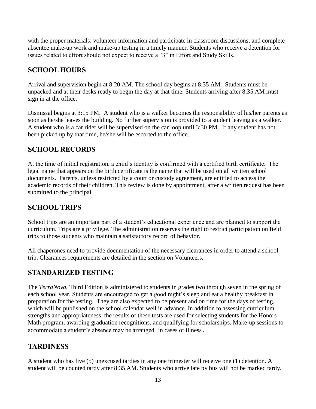with the proper materials; volunteer information and participate in classroom discussions; and complete absentee make-up work and make-up testing in a timely manner. Students who receive a detention for issues related to effort should not expect to receive a "3" in Effort and Study Skills.

## **SCHOOL HOURS**

Arrival and supervision begin at 8:20 AM. The school day begins at 8:35 AM. Students must be unpacked and at their desks ready to begin the day at that time. Students arriving after 8:35 AM must sign in at the office.

Dismissal begins at 3:15 PM. A student who is a walker becomes the responsibility of his/her parents as soon as he/she leaves the building. No further supervision is provided to a student leaving as a walker. A student who is a car rider will be supervised on the car loop until 3:30 PM. If any student has not been picked up by that time, he/she will be escorted to the office.

#### **SCHOOL RECORDS**

At the time of initial registration, a child's identity is confirmed with a certified birth certificate. The legal name that appears on the birth certificate is the name that will be used on all written school documents. Parents, unless restricted by a court or custody agreement, are entitled to access the academic records of their children. This review is done by appointment, after a written request has been submitted to the principal.

#### **SCHOOL TRIPS**

School trips are an important part of a student's educational experience and are planned to support the curriculum. Trips are a privilege. The administration reserves the right to restrict participation on field trips to those students who maintain a satisfactory record of behavior.

All chaperones need to provide documentation of the necessary clearances in order to attend a school trip. Clearances requirements are detailed in the section on Volunteers.

#### **STANDARIZED TESTING**

The *TerraNova*, Third Edition is administered to students in grades two through seven in the spring of each school year. Students are encouraged to get a good night's sleep and eat a healthy breakfast in preparation for the testing. They are also expected to be present and on time for the days of testing, which will be published on the school calendar well in advance. In addition to assessing curriculum strengths and appropriateness, the results of these tests are used for selecting students for the Honors Math program, awarding graduation recognitions, and qualifying for scholarships. Make-up sessions to accommodate a student's absence may be arranged in cases of illness.

## **TARDINESS**

A student who has five (5) unexcused tardies in any one trimester will receive one (1) detention. A student will be counted tardy after 8:35 AM. Students who arrive late by bus will not be marked tardy.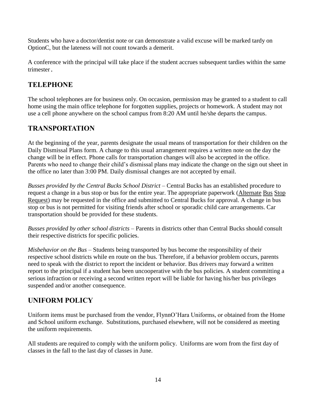Students who have a doctor/dentist note or can demonstrate a valid excuse will be marked tardy on OptionC, but the lateness will not count towards a demerit.

A conference with the principal will take place if the student accrues subsequent tardies within the same trimester.

## **TELEPHONE**

The school telephones are for business only. On occasion, permission may be granted to a student to call home using the main office telephone for forgotten supplies, projects or homework. A student may not use a cell phone anywhere on the school campus from 8:20 AM until he/she departs the campus.

## **TRANSPORTATION**

At the beginning of the year, parents designate the usual means of transportation for their children on the Daily Dismissal Plans form. A change to this usual arrangement requires a written note on the day the change will be in effect. Phone calls for transportation changes will also be accepted in the office. Parents who need to change their child's dismissal plans may indicate the change on the sign out sheet in the office no later than 3:00 PM. Daily dismissal changes are not accepted by email.

*Busses provided by the Central Bucks School District* – Central Bucks has an established procedure to request a change in a bus stop or bus for the entire year. The appropriate paperwork (Alternate Bus Stop Request) may be requested in the office and submitted to Central Bucks for approval. A change in bus stop or bus is not permitted for visiting friends after school or sporadic child care arrangements. Car transportation should be provided for these students.

*Busses provided by other school districts* – Parents in districts other than Central Bucks should consult their respective districts for specific policies.

*Misbehavior on the Bus* – Students being transported by bus become the responsibility of their respective school districts while en route on the bus. Therefore, if a behavior problem occurs, parents need to speak with the district to report the incident or behavior. Bus drivers may forward a written report to the principal if a student has been uncooperative with the bus policies. A student committing a serious infraction or receiving a second written report will be liable for having his/her bus privileges suspended and/or another consequence.

## **UNIFORM POLICY**

Uniform items must be purchased from the vendor, FlynnO'Hara Uniforms, or obtained from the Home and School uniform exchange. Substitutions, purchased elsewhere, will not be considered as meeting the uniform requirements.

All students are required to comply with the uniform policy. Uniforms are worn from the first day of classes in the fall to the last day of classes in June.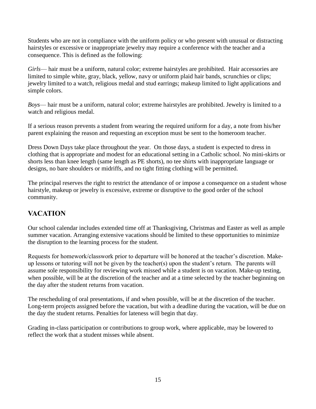Students who are not in compliance with the uniform policy or who present with unusual or distracting hairstyles or excessive or inappropriate jewelry may require a conference with the teacher and a consequence. This is defined as the following:

*Girls*— hair must be a uniform, natural color; extreme hairstyles are prohibited. Hair accessories are limited to simple white, gray, black, yellow, navy or uniform plaid hair bands, scrunchies or clips; jewelry limited to a watch, religious medal and stud earrings; makeup limited to light applications and simple colors.

*Boys*— hair must be a uniform, natural color; extreme hairstyles are prohibited. Jewelry is limited to a watch and religious medal.

If a serious reason prevents a student from wearing the required uniform for a day, a note from his/her parent explaining the reason and requesting an exception must be sent to the homeroom teacher.

Dress Down Days take place throughout the year. On those days, a student is expected to dress in clothing that is appropriate and modest for an educational setting in a Catholic school. No mini-skirts or shorts less than knee length (same length as PE shorts), no tee shirts with inappropriate language or designs, no bare shoulders or midriffs, and no tight fitting clothing will be permitted.

The principal reserves the right to restrict the attendance of or impose a consequence on a student whose hairstyle, makeup or jewelry is excessive, extreme or disruptive to the good order of the school community.

## **VACATION**

Our school calendar includes extended time off at Thanksgiving, Christmas and Easter as well as ample summer vacation. Arranging extensive vacations should be limited to these opportunities to minimize the disruption to the learning process for the student.

Requests for homework/classwork prior to departure will be honored at the teacher's discretion. Makeup lessons or tutoring will not be given by the teacher(s) upon the student's return. The parents will assume sole responsibility for reviewing work missed while a student is on vacation. Make-up testing, when possible, will be at the discretion of the teacher and at a time selected by the teacher beginning on the day after the student returns from vacation.

The rescheduling of oral presentations, if and when possible, will be at the discretion of the teacher. Long-term projects assigned before the vacation, but with a deadline during the vacation, will be due on the day the student returns. Penalties for lateness will begin that day.

Grading in-class participation or contributions to group work, where applicable, may be lowered to reflect the work that a student misses while absent.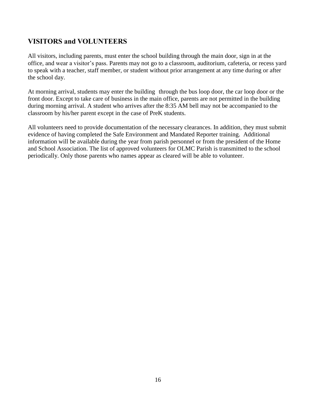## **VISITORS and VOLUNTEERS**

All visitors, including parents, must enter the school building through the main door, sign in at the office, and wear a visitor's pass. Parents may not go to a classroom, auditorium, cafeteria, or recess yard to speak with a teacher, staff member, or student without prior arrangement at any time during or after the school day.

At morning arrival, students may enter the building through the bus loop door, the car loop door or the front door. Except to take care of business in the main office, parents are not permitted in the building during morning arrival. A student who arrives after the 8:35 AM bell may not be accompanied to the classroom by his/her parent except in the case of PreK students.

All volunteers need to provide documentation of the necessary clearances. In addition, they must submit evidence of having completed the Safe Environment and Mandated Reporter training. Additional information will be available during the year from parish personnel or from the president of the Home and School Association. The list of approved volunteers for OLMC Parish is transmitted to the school periodically. Only those parents who names appear as cleared will be able to volunteer.